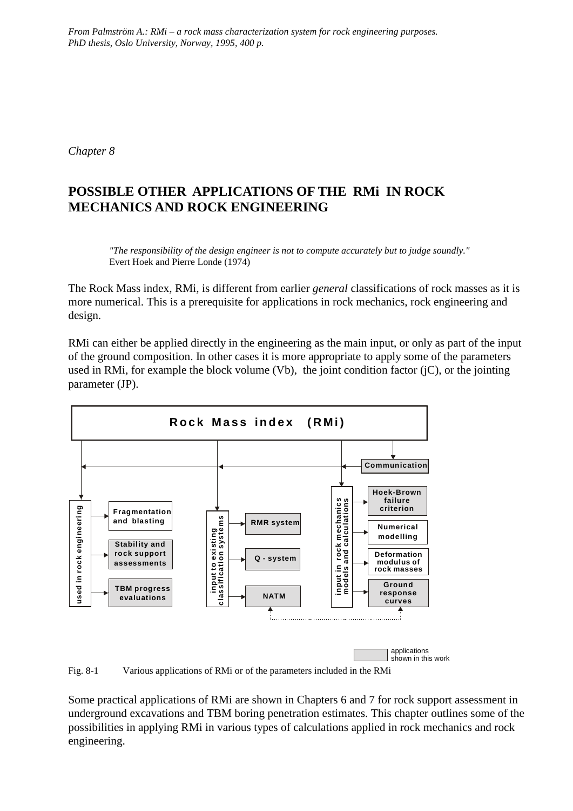*From Palmström A.: RMi – a rock mass characterization system for rock engineering purposes. PhD thesis, Oslo University, Norway, 1995, 400 p.*

*Chapter 8*

# **POSSIBLE OTHER APPLICATIONS OF THE RMi IN ROCK MECHANICS AND ROCK ENGINEERING**

*"The responsibility of the design engineer is not to compute accurately but to judge soundly."* Evert Hoek and Pierre Londe (1974)

The Rock Mass index, RMi, is different from earlier *general* classifications of rock masses as it is more numerical. This is a prerequisite for applications in rock mechanics, rock engineering and design.

RMi can either be applied directly in the engineering as the main input, or only as part of the input of the ground composition. In other cases it is more appropriate to apply some of the parameters used in RMi, for example the block volume (Vb), the joint condition factor (jC), or the jointing parameter (JP).



Fig. 8-1 Various applications of RMi or of the parameters included in the RMi

Some practical applications of RMi are shown in Chapters 6 and 7 for rock support assessment in underground excavations and TBM boring penetration estimates. This chapter outlines some of the possibilities in applying RMi in various types of calculations applied in rock mechanics and rock engineering.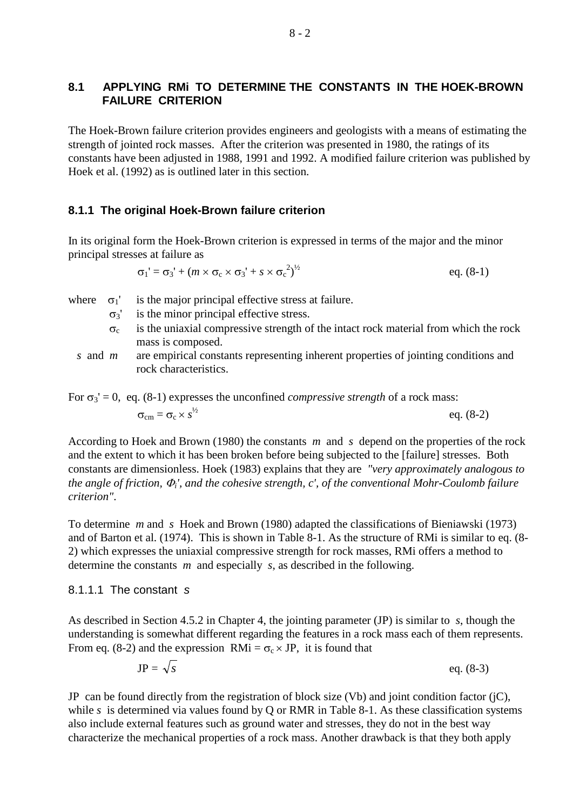## **8.1 APPLYING RMi TO DETERMINE THE CONSTANTS IN THE HOEK-BROWN FAILURE CRITERION**

The Hoek-Brown failure criterion provides engineers and geologists with a means of estimating the strength of jointed rock masses. After the criterion was presented in 1980, the ratings of its constants have been adjusted in 1988, 1991 and 1992. A modified failure criterion was published by Hoek et al. (1992) as is outlined later in this section.

## **8.1.1 The original Hoek-Brown failure criterion**

In its original form the Hoek-Brown criterion is expressed in terms of the major and the minor principal stresses at failure as

$$
\sigma_1' = \sigma_3' + (m \times \sigma_c \times \sigma_3' + s \times \sigma_c^2)^{1/2}
$$
 eq. (8-1)

where  $\sigma_1'$  is the major principal effective stress at failure.

- $\sigma_3$ <sup>'</sup> is the minor principal effective stress.
- $\sigma_c$  is the uniaxial compressive strength of the intact rock material from which the rock mass is composed.
- *s* and *m* are empirical constants representing inherent properties of jointing conditions and rock characteristics.

For  $\sigma_3' = 0$ , eq. (8-1) expresses the unconfined *compressive strength* of a rock mass:

$$
\sigma_{\rm cm} = \sigma_{\rm c} \times s^{\frac{1}{2}} \qquad \qquad \text{eq. (8-2)}
$$

According to Hoek and Brown (1980) the constants *m* and *s* depend on the properties of the rock and the extent to which it has been broken before being subjected to the [failure] stresses. Both constants are dimensionless. Hoek (1983) explains that they are *"very approximately analogous to the angle of friction,* <sup>Φ</sup>*i', and the cohesive strength, c', of the conventional Mohr-Coulomb failure criterion"*.

To determine *m* and *s* Hoek and Brown (1980) adapted the classifications of Bieniawski (1973) and of Barton et al. (1974). This is shown in Table 8-1. As the structure of RMi is similar to eq. (8- 2) which expresses the uniaxial compressive strength for rock masses, RMi offers a method to determine the constants *m* and especially *s*, as described in the following.

### 8.1.1.1 The constant *s*

As described in Section 4.5.2 in Chapter 4, the jointing parameter (JP) is similar to *s*, though the understanding is somewhat different regarding the features in a rock mass each of them represents. From eq. (8-2) and the expression RMi =  $\sigma_c \times$  JP, it is found that

$$
JP = \sqrt{s} \qquad \qquad \text{eq. (8-3)}
$$

JP can be found directly from the registration of block size (Vb) and joint condition factor (jC), while *s* is determined via values found by Q or RMR in Table 8-1. As these classification systems also include external features such as ground water and stresses, they do not in the best way characterize the mechanical properties of a rock mass. Another drawback is that they both apply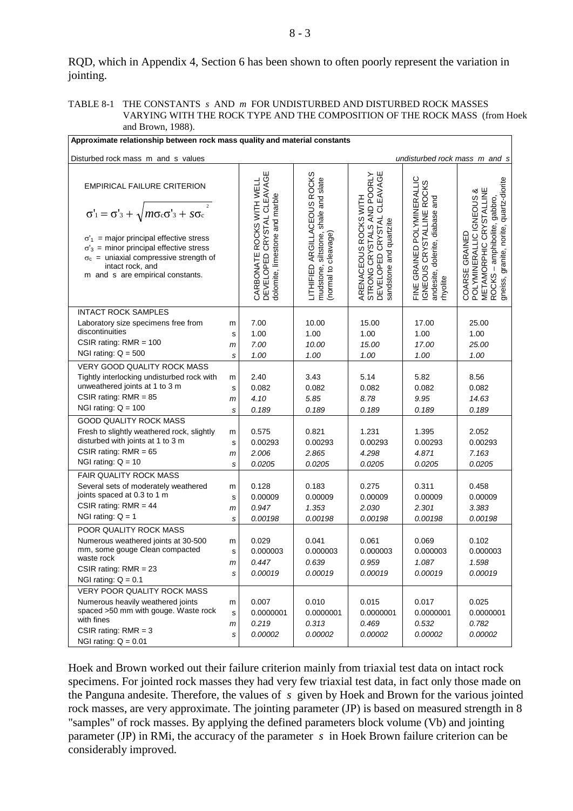RQD, which in Appendix 4, Section 6 has been shown to often poorly represent the variation in jointing.

#### TABLE 8-1 THE CONSTANTS *s* AND *m* FOR UNDISTURBED AND DISTURBED ROCK MASSES VARYING WITH THE ROCK TYPE AND THE COMPOSITION OF THE ROCK MASS (from Hoek and Brown, 1988).

| Approximate relationship between rock mass quality and material constants                                                                                                                                                                                                                                                                           |                             |                                                                                           |                                                                                                 |                                                                                                                                      |                                                                                                                                       |                                                                                                                                                                                     |  |
|-----------------------------------------------------------------------------------------------------------------------------------------------------------------------------------------------------------------------------------------------------------------------------------------------------------------------------------------------------|-----------------------------|-------------------------------------------------------------------------------------------|-------------------------------------------------------------------------------------------------|--------------------------------------------------------------------------------------------------------------------------------------|---------------------------------------------------------------------------------------------------------------------------------------|-------------------------------------------------------------------------------------------------------------------------------------------------------------------------------------|--|
| Disturbed rock mass m and s values                                                                                                                                                                                                                                                                                                                  |                             |                                                                                           |                                                                                                 |                                                                                                                                      |                                                                                                                                       | undisturbed rock mass m and s                                                                                                                                                       |  |
| <b>EMPIRICAL FAILURE CRITERION</b><br>$\overline{c}$<br>$\sigma'_{1} = \sigma'_{3} + \sqrt{m \sigma_{c} \sigma'_{3} + s \sigma_{c}}$<br>$\sigma'_1$ = major principal effective stress<br>$\sigma'_{3}$ = minor principal effective stress<br>$\sigma_c$ = uniaxial compressive strength of<br>intact rock, and<br>m and s are empirical constants. |                             | DEVELOPED CRYSTAL CLEAVAGE<br>CARBONATE ROCKS WITH WELL<br>dolomite, limestone and marble | ARGILLACEOUS ROCKS<br>mudstone, siltstone, shale and slate<br>(normal to cleavage)<br>LITHIFIED | STRONG CRYSTALS AND POORLY<br>DEVELOPED CRYSTAL CLEAVAGE<br>ROCKS WITH<br>DEVELOPED CRYSTAL<br>sandstone and quartzite<br>ARENACEOUS | FINE GRAINED POLYMINERALLIC<br>IGNEOUS CRYSTALLINE ROCKS<br>ROCKS<br>and<br>CRYSTALLINE<br>dolerite, diabase<br>andesite,<br>rhyolite | quartz-diorite<br>CRYSTALLINE<br>య<br>COARSE GRAINED<br>POLYMINERALLIC IGNEOUS<br>gabbro,<br>amphibolite,<br>gneiss, granite, norite,<br>METAMORPHIC<br>$\mathsf I$<br><b>ROCKS</b> |  |
| <b>INTACT ROCK SAMPLES</b><br>Laboratory size specimens free from<br>discontinuities<br>CSIR rating: $RMR = 100$<br>NGI rating: $Q = 500$                                                                                                                                                                                                           | m<br>s<br>m<br>s            | 7.00<br>1.00<br>7.00<br>1.00                                                              | 10.00<br>1.00<br>10.00<br>1.00                                                                  | 15.00<br>1.00<br>15.00<br>1.00                                                                                                       | 17.00<br>1.00<br>17.00<br>1.00                                                                                                        | 25.00<br>1.00<br>25.00<br>1.00                                                                                                                                                      |  |
| VERY GOOD QUALITY ROCK MASS<br>Tightly interlocking undisturbed rock with<br>unweathered joints at 1 to 3 m<br>CSIR rating: $RMR = 85$<br>NGI rating: $Q = 100$                                                                                                                                                                                     | m<br>$\mathbf s$<br>m<br>s  | 2.40<br>0.082<br>4.10<br>0.189                                                            | 3.43<br>0.082<br>5.85<br>0.189                                                                  | 5.14<br>0.082<br>8.78<br>0.189                                                                                                       | 5.82<br>0.082<br>9.95<br>0.189                                                                                                        | 8.56<br>0.082<br>14.63<br>0.189                                                                                                                                                     |  |
| <b>GOOD QUALITY ROCK MASS</b><br>Fresh to slightly weathered rock, slightly<br>disturbed with joints at 1 to 3 m<br>CSIR rating: $RMR = 65$<br>NGI rating: $Q = 10$                                                                                                                                                                                 | m<br>S<br>$\mathsf{m}$<br>s | 0.575<br>0.00293<br>2.006<br>0.0205                                                       | 0.821<br>0.00293<br>2.865<br>0.0205                                                             | 1.231<br>0.00293<br>4.298<br>0.0205                                                                                                  | 1.395<br>0.00293<br>4.871<br>0.0205                                                                                                   | 2.052<br>0.00293<br>7.163<br>0.0205                                                                                                                                                 |  |
| FAIR QUALITY ROCK MASS<br>Several sets of moderately weathered<br>joints spaced at 0.3 to 1 m<br>CSIR rating: $RMR = 44$<br>NGI rating: $Q = 1$                                                                                                                                                                                                     | m<br>s<br>m<br>s            | 0.128<br>0.00009<br>0.947<br>0.00198                                                      | 0.183<br>0.00009<br>1.353<br>0.00198                                                            | 0.275<br>0.00009<br>2.030<br>0.00198                                                                                                 | 0.311<br>0.00009<br>2.301<br>0.00198                                                                                                  | 0.458<br>0.00009<br>3.383<br>0.00198                                                                                                                                                |  |
| POOR QUALITY ROCK MASS<br>Numerous weathered joints at 30-500<br>mm, some gouge Clean compacted<br>waste rock<br>CSIR rating: $RMR = 23$<br>NGI rating: $Q = 0.1$                                                                                                                                                                                   | m<br>$\mathbf s$<br>m<br>S  | 0.029<br>0.000003<br>0.447<br>0.00019                                                     | 0.041<br>0.000003<br>0.639<br>0.00019                                                           | 0.061<br>0.000003<br>0.959<br>0.00019                                                                                                | 0.069<br>0.000003<br>1.087<br>0.00019                                                                                                 | 0.102<br>0.000003<br>1.598<br>0.00019                                                                                                                                               |  |
| <b>VERY POOR QUALITY ROCK MASS</b><br>Numerous heavily weathered joints<br>spaced >50 mm with gouge. Waste rock<br>with fines<br>CSIR rating: $RMR = 3$<br>NGI rating: $Q = 0.01$                                                                                                                                                                   | m<br>$\mathbf s$<br>m<br>S  | 0.007<br>0.0000001<br>0.219<br>0.00002                                                    | 0.010<br>0.0000001<br>0.313<br>0.00002                                                          | 0.015<br>0.0000001<br>0.469<br>0.00002                                                                                               | 0.017<br>0.0000001<br>0.532<br>0.00002                                                                                                | 0.025<br>0.0000001<br>0.782<br>0.00002                                                                                                                                              |  |

Hoek and Brown worked out their failure criterion mainly from triaxial test data on intact rock specimens. For jointed rock masses they had very few triaxial test data, in fact only those made on the Panguna andesite. Therefore, the values of *s* given by Hoek and Brown for the various jointed rock masses, are very approximate. The jointing parameter (JP) is based on measured strength in 8 "samples" of rock masses. By applying the defined parameters block volume (Vb) and jointing parameter (JP) in RMi, the accuracy of the parameter *s* in Hoek Brown failure criterion can be considerably improved.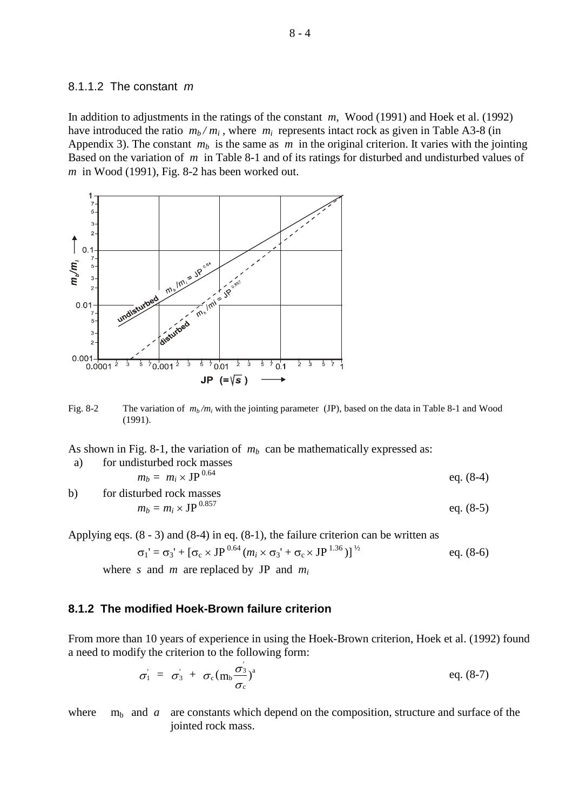#### 8.1.1.2 The constant *m*

In addition to adjustments in the ratings of the constant *m*, Wood (1991) and Hoek et al. (1992) have introduced the ratio  $m_b/m_i$ , where  $m_i$  represents intact rock as given in Table A3-8 (in Appendix 3). The constant  $m_b$  is the same as  $m$  in the original criterion. It varies with the jointing Based on the variation of *m* in Table 8-1 and of its ratings for disturbed and undisturbed values of *m* in Wood (1991), Fig. 8-2 has been worked out.



Fig. 8-2 The variation of  $m_b/m_i$  with the jointing parameter (JP), based on the data in Table 8-1 and Wood (1991).

As shown in Fig. 8-1, the variation of  $m_b$  can be mathematically expressed as:

a) for undisturbed rock masses  
\n
$$
m_b = m_i \times JP^{0.64}
$$
\neq. (8-4)

b) for disturbed rock masses  $m_b = m_i \times \text{JP}^{0.857}$  eq. (8-5)

Applying eqs. (8 - 3) and (8-4) in eq. (8-1), the failure criterion can be written as

$$
\sigma_1' = \sigma_3' + [\sigma_c \times JP^{0.64}(m_i \times \sigma_3' + \sigma_c \times JP^{1.36})]^{\frac{1}{2}}
$$
eq. (8-6)

where *s* and *m* are replaced by JP and *mi*

### **8.1.2 The modified Hoek-Brown failure criterion**

From more than 10 years of experience in using the Hoek-Brown criterion, Hoek et al. (1992) found a need to modify the criterion to the following form:

$$
\sigma_1 = \sigma_3 + \sigma_c (m_b \frac{\sigma_3}{\sigma_c})^a
$$
 eq. (8-7)

where  $m_b$  and *a* are constants which depend on the composition, structure and surface of the jointed rock mass.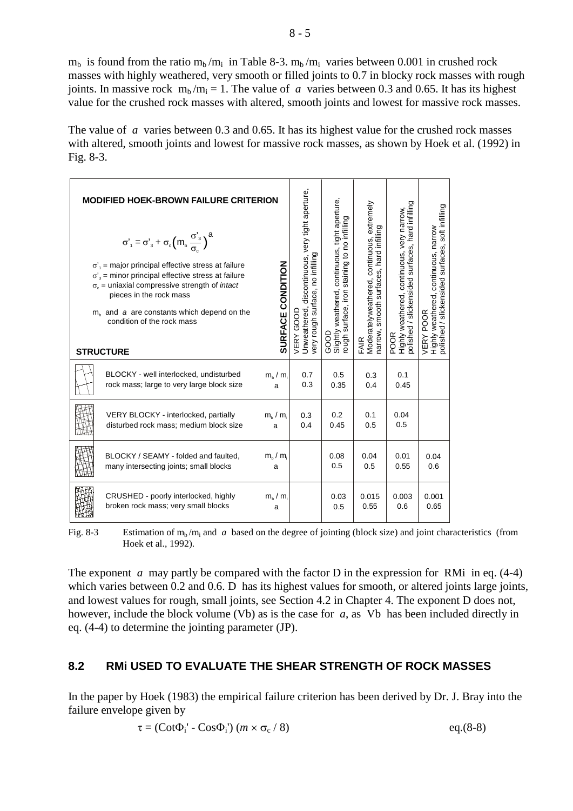$m_b$  is found from the ratio  $m_b/m_i$  in Table 8-3.  $m_b/m_i$  varies between 0.001 in crushed rock masses with highly weathered, very smooth or filled joints to 0.7 in blocky rock masses with rough joints. In massive rock  $m_b / m_i = 1$ . The value of *a* varies between 0.3 and 0.65. It has its highest value for the crushed rock masses with altered, smooth joints and lowest for massive rock masses.

The value of *a* varies between 0.3 and 0.65. It has its highest value for the crushed rock masses with altered, smooth joints and lowest for massive rock masses, as shown by Hoek et al. (1992) in Fig. 8-3.

| <b>MODIFIED HOEK-BROWN FAILURE CRITERION</b>                                                                                                                                                                                                                                                                                                                                                                             |                                |                                                                                                   | extremely                                                                                                 |                                                                                     |                                                                                                        |                                                                                                       |
|--------------------------------------------------------------------------------------------------------------------------------------------------------------------------------------------------------------------------------------------------------------------------------------------------------------------------------------------------------------------------------------------------------------------------|--------------------------------|---------------------------------------------------------------------------------------------------|-----------------------------------------------------------------------------------------------------------|-------------------------------------------------------------------------------------|--------------------------------------------------------------------------------------------------------|-------------------------------------------------------------------------------------------------------|
| $\sigma'_{1} = \sigma'_{3} + \sigma_{c} \left( m_{b} \frac{\sigma'_{3}}{\sigma_{c}} \right)^{a}$<br>$\sigma'$ <sub>1</sub> = major principal effective stress at failure<br>$\sigma'$ <sub>3</sub> = minor principal effective stress at failure<br>$\sigma_c$ = uniaxial compressive strength of <i>intact</i><br>pieces in the rock mass<br>$mb$ and a are constants which depend on the<br>condition of the rock mass | SURFACE CONDITION              | Unweathered, discontinuous, very tight aperture,<br>very rough surface, no infilling<br>VERY GOOD | Slightly weathered, continuous, tight aperture,<br>staining to no infilling<br>ough surface, iron<br>GOOD | narrow, smooth surfaces, hard infilling<br>FAIR<br>Moderatelyweathered, continuous, | polished / slickensided surfaces, hard infilling<br>POOR<br>Highly weathered, continuous, very narrow, | polished / slickensided surfaces, soft infilling<br>Highly weathered, continuous, narrow<br>VERY POOR |
| <b>STRUCTURE</b>                                                                                                                                                                                                                                                                                                                                                                                                         |                                |                                                                                                   |                                                                                                           |                                                                                     |                                                                                                        |                                                                                                       |
| BLOCKY - well interlocked, undisturbed<br>rock mass; large to very large block size                                                                                                                                                                                                                                                                                                                                      | $m_h/m_i$<br>a                 | 0.7<br>0.3                                                                                        | 0.5<br>0.35                                                                                               | 0.3<br>0.4                                                                          | 0.1<br>0.45                                                                                            |                                                                                                       |
| VERY BLOCKY - interlocked, partially<br>disturbed rock mass; medium block size                                                                                                                                                                                                                                                                                                                                           | $m_{\rm h}$ / $m_{\rm i}$<br>a | 0.3<br>0.4                                                                                        | 0.2<br>0.45                                                                                               | 0.1<br>0.5                                                                          | 0.04<br>0.5                                                                                            |                                                                                                       |
| BLOCKY / SEAMY - folded and faulted,<br>many intersecting joints; small blocks                                                                                                                                                                                                                                                                                                                                           | $m_{\rm h}$ / $m_{\rm i}$<br>a |                                                                                                   | 0.08<br>0.5                                                                                               | 0.04<br>0.5                                                                         | 0.01<br>0.55                                                                                           | 0.04<br>0.6                                                                                           |
| CRUSHED - poorly interlocked, highly<br>broken rock mass; very small blocks                                                                                                                                                                                                                                                                                                                                              | $m_{\rm b}$ / $m_{\rm i}$<br>a |                                                                                                   | 0.03<br>0.5                                                                                               | 0.015<br>0.55                                                                       | 0.003<br>0.6                                                                                           | 0.001<br>0.65                                                                                         |

Fig. 8-3 Estimation of  $m_b / m_i$  and *a* based on the degree of jointing (block size) and joint characteristics (from Hoek et al., 1992).

The exponent *a* may partly be compared with the factor D in the expression for RMi in eq. (4-4) which varies between 0.2 and 0.6. D has its highest values for smooth, or altered joints large joints, and lowest values for rough, small joints, see Section 4.2 in Chapter 4. The exponent D does not, however, include the block volume (Vb) as is the case for *a*, as Vb has been included directly in eq. (4-4) to determine the jointing parameter (JP).

# **8.2 RMi USED TO EVALUATE THE SHEAR STRENGTH OF ROCK MASSES**

In the paper by Hoek (1983) the empirical failure criterion has been derived by Dr. J. Bray into the failure envelope given by

$$
\tau = (\text{Cot}\Phi_i' - \text{Cos}\Phi_i') \ (m \times \sigma_c / 8) \tag{8-8}
$$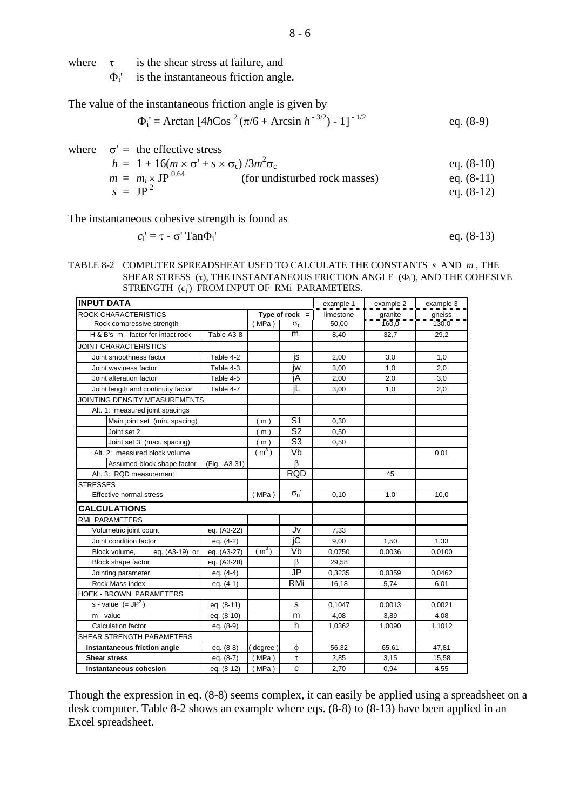$\Phi_i$ <sup>'</sup> is the instantaneous friction angle.

The value of the instantaneous friction angle is given by

$$
\Phi_{i} = \text{Arctan} \left[ 4h \text{Cos}^{2} \left( \pi/6 + \text{Arcsin} \ h^{-3/2} \right) - 1 \right]^{-1/2} \qquad \text{eq. (8-9)}
$$

where  $\sigma' =$  the effective stress

$$
h = 1 + 16(m \times \sigma' + s \times \sigma_c) / 3m^2 \sigma_c
$$
  
\n
$$
m = m_i \times JP^{0.64}
$$
 (for undisturbed rock masses) eq. (8-10)  
\n
$$
s = JP^2
$$
 eq. (8-12)

The instantaneous cohesive strength is found as

$$
c_i' = \tau - \sigma' \text{Tan} \Phi_i' \qquad \text{eq. (8-13)}
$$

TABLE 8-2 COMPUTER SPREADSHEAT USED TO CALCULATE THE CONSTANTS *s* AND *m* , THE SHEAR STRESS  $(τ)$ , THE INSTANTANEOUS FRICTION ANGLE  $(Φ<sub>i</sub>)$ , AND THE COHESIVE STRENGTH ( $c_i$ ) FROM INPUT OF RMi PARAMETERS.

| <b>INPUT DATA</b>                  | example 1    | example 2         | example 3        |           |         |        |
|------------------------------------|--------------|-------------------|------------------|-----------|---------|--------|
| <b>ROCK CHARACTERISTICS</b>        |              | Type of rock $=$  |                  | limestone | granite | gneiss |
| Rock compressive strength          |              | (MPa)             | $\sigma_c$       | 50,00     | 160.0   | 130,0  |
| H & B's m - factor for intact rock | Table A3-8   |                   | $\overline{m}_i$ | 8,40      | 32,7    | 29,2   |
| <b>JOINT CHARACTERISTICS</b>       |              |                   |                  |           |         |        |
| Joint smoothness factor            | Table 4-2    |                   | is               | 2,00      | 3,0     | 1,0    |
| Joint waviness factor              | Table 4-3    |                   | iw               | 3,00      | 1,0     | 2,0    |
| Joint alteration factor            | Table 4-5    |                   | jΑ               | 2,00      | 2,0     | 3,0    |
| Joint length and continuity factor | Table 4-7    |                   | jL.              | 3,00      | 1,0     | 2,0    |
| JOINTING DENSITY MEASUREMENTS      |              |                   |                  |           |         |        |
| Alt. 1: measured joint spacings    |              |                   |                  |           |         |        |
| Main joint set (min. spacing)      |              | (m)               | S <sub>1</sub>   | 0,30      |         |        |
| Joint set 2                        |              | m)                | S <sub>2</sub>   | 0,50      |         |        |
| Joint set 3 (max. spacing)         |              | (m)               | S <sub>3</sub>   | 0,50      |         |        |
| Alt. 2: measured block volume      |              | (m <sup>3</sup> ) | Vb               |           |         | 0,01   |
| Assumed block shape factor         | (Fig. A3-31) |                   | $\beta$          |           |         |        |
| Alt. 3: RQD measurement            |              |                   | <b>RQD</b>       |           | 45      |        |
| <b>STRESSES</b>                    |              |                   |                  |           |         |        |
| Effective normal stress            |              | (MPa)             | $\sigma_{\rm n}$ | 0,10      | 1,0     | 10,0   |
| <b>CALCULATIONS</b>                |              |                   |                  |           |         |        |
| <b>RMI PARAMETERS</b>              |              |                   |                  |           |         |        |
| Volumetric joint count             | eq. (A3-22)  |                   | Jv               | 7,33      |         |        |
| Joint condition factor             | eq. (4-2)    |                   | jC               | 9,00      | 1,50    | 1,33   |
| Block volume.<br>eq. (A3-19) or    | eq. (A3-27)  | (m <sup>3</sup> ) | Vb               | 0,0750    | 0,0036  | 0,0100 |
| Block shape factor                 | eq. (A3-28)  |                   | $\beta$          | 29,58     |         |        |
| Jointing parameter                 | eq. (4-4)    |                   | JP               | 0,3235    | 0,0359  | 0,0462 |
| Rock Mass index                    | eq. (4-1)    |                   | <b>RMi</b>       | 16,18     | 5,74    | 6,01   |
| <b>HOEK - BROWN PARAMETERS</b>     |              |                   |                  |           |         |        |
| s - value $(=JP2)$                 | eq. (8-11)   |                   | s                | 0,1047    | 0,0013  | 0,0021 |
| m - value                          | eq. (8-10)   |                   | m                | 4,08      | 3,89    | 4,08   |
| Calculation factor<br>eq. (8-9)    |              |                   | h                | 1,0362    | 1,0090  | 1,1012 |
| SHEAR STRENGTH PARAMETERS          |              |                   |                  |           |         |        |
| Instantaneous friction angle       | eq. (8-8)    | (degree)          | $\phi$           | 56,32     | 65,61   | 47,81  |
| <b>Shear stress</b>                | eq. (8-7)    | (MPa)             | τ                | 2,85      | 3,15    | 15,58  |
| Instantaneous cohesion             | eq. (8-12)   | (MPa)             | $\mathbf{c}$     | 2.70      | 0.94    | 4.55   |

Though the expression in eq. (8-8) seems complex, it can easily be applied using a spreadsheet on a desk computer. Table 8-2 shows an example where eqs. (8-8) to (8-13) have been applied in an Excel spreadsheet.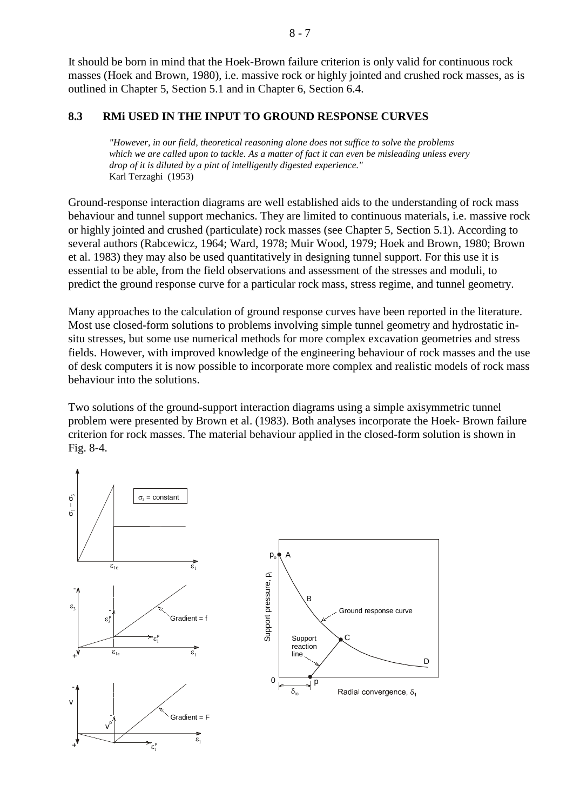It should be born in mind that the Hoek-Brown failure criterion is only valid for continuous rock masses (Hoek and Brown, 1980), i.e. massive rock or highly jointed and crushed rock masses, as is outlined in Chapter 5, Section 5.1 and in Chapter 6, Section 6.4.

## **8.3 RMi USED IN THE INPUT TO GROUND RESPONSE CURVES**

*"However, in our field, theoretical reasoning alone does not suffice to solve the problems which we are called upon to tackle. As a matter of fact it can even be misleading unless every drop of it is diluted by a pint of intelligently digested experience."* Karl Terzaghi (1953)

Ground-response interaction diagrams are well established aids to the understanding of rock mass behaviour and tunnel support mechanics. They are limited to continuous materials, i.e. massive rock or highly jointed and crushed (particulate) rock masses (see Chapter 5, Section 5.1). According to several authors (Rabcewicz, 1964; Ward, 1978; Muir Wood, 1979; Hoek and Brown, 1980; Brown et al. 1983) they may also be used quantitatively in designing tunnel support. For this use it is essential to be able, from the field observations and assessment of the stresses and moduli, to predict the ground response curve for a particular rock mass, stress regime, and tunnel geometry.

Many approaches to the calculation of ground response curves have been reported in the literature. Most use closed-form solutions to problems involving simple tunnel geometry and hydrostatic insitu stresses, but some use numerical methods for more complex excavation geometries and stress fields. However, with improved knowledge of the engineering behaviour of rock masses and the use of desk computers it is now possible to incorporate more complex and realistic models of rock mass behaviour into the solutions.

Two solutions of the ground-support interaction diagrams using a simple axisymmetric tunnel problem were presented by Brown et al. (1983). Both analyses incorporate the Hoek- Brown failure criterion for rock masses. The material behaviour applied in the closed-form solution is shown in Fig. 8-4.

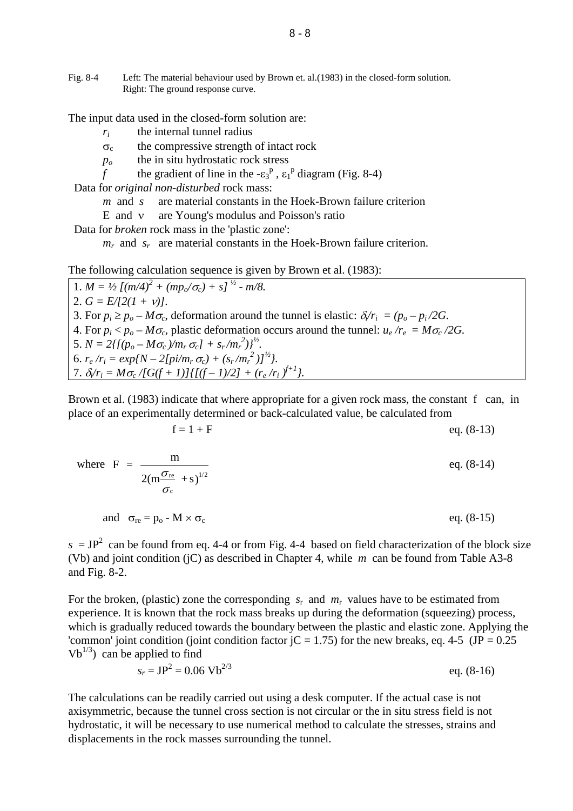Fig. 8-4 Left: The material behaviour used by Brown et. al.(1983) in the closed-form solution. Right: The ground response curve.

The input data used in the closed-form solution are:

*ri* the internal tunnel radius

 $\sigma_c$  the compressive strength of intact rock

*po* the in situ hydrostatic rock stress

*f* the gradient of line in the  $-\epsilon_3^p$ ,  $\epsilon_1^p$  diagram (Fig. 8-4)

Data for *original non-disturbed* rock mass:

*m* and *s* are material constants in the Hoek-Brown failure criterion

E and ν are Young's modulus and Poisson's ratio

Data for *broken* rock mass in the 'plastic zone':

 $m_r$  and  $s_r$  are material constants in the Hoek-Brown failure criterion.

The following calculation sequence is given by Brown et al. (1983):

1.  $M = \frac{1}{2} \left[ \left( \frac{m}{4} \right)^2 + \left( \frac{mp_o}{\sigma_c} \right) + s \right]^{\frac{1}{2}}$  *- m*/8. 2.  $G = E/[2(1 + v)]$ . 3. For  $p_i \geq p_o - M\sigma_c$ , deformation around the tunnel is elastic:  $\delta r_i = (p_o - p_i/2G)$ . 4. For  $p_i < p_o - M\sigma_c$ , plastic deformation occurs around the tunnel:  $u_e/r_e = M\sigma_c/2G$ . 5.  $N = 2\{[(p_o - M\sigma_c)/m_r\sigma_c] + s_r/m_r^2\}^{1/2}.$ 6.  $r_e/r_i = exp\{N - 2[pi/m_r \sigma_c) + (s_r/m_r^2)J^2\}.$ 7.  $\delta_i/r_i = M\sigma_c/[G(f+1)]\{[(f-1)/2] + (r_e/r_i)^{f+1}\}.$ 

Brown et al. (1983) indicate that where appropriate for a given rock mass, the constant f can, in place of an experimentally determined or back-calculated value, be calculated from

$$
f = 1 + F \qquad \qquad \text{eq. (8-13)}
$$

where 
$$
F = \frac{m}{2(m\frac{\sigma_{re}}{\sigma_c} + s)^{1/2}}
$$
 eq. (8-14)  
and  $\sigma_{re} = p_o - M \times \sigma_c$  eq. (8-15)

 $s = JP^2$  can be found from eq. 4-4 or from Fig. 4-4 based on field characterization of the block size (Vb) and joint condition (jC) as described in Chapter 4, while *m* can be found from Table A3-8 and Fig. 8-2.

For the broken, (plastic) zone the corresponding  $s_r$  and  $m_r$  values have to be estimated from experience. It is known that the rock mass breaks up during the deformation (squeezing) process, which is gradually reduced towards the boundary between the plastic and elastic zone. Applying the 'common' joint condition (joint condition factor  $|C = 1.75$ ) for the new breaks, eq. 4-5 (JP = 0.25)  $Vb^{1/3}$ ) can be applied to find

$$
s_r = JP^2 = 0.06 \text{ Vb}^{2/3} \qquad \text{eq. (8-16)}
$$

The calculations can be readily carried out using a desk computer. If the actual case is not axisymmetric, because the tunnel cross section is not circular or the in situ stress field is not hydrostatic, it will be necessary to use numerical method to calculate the stresses, strains and displacements in the rock masses surrounding the tunnel.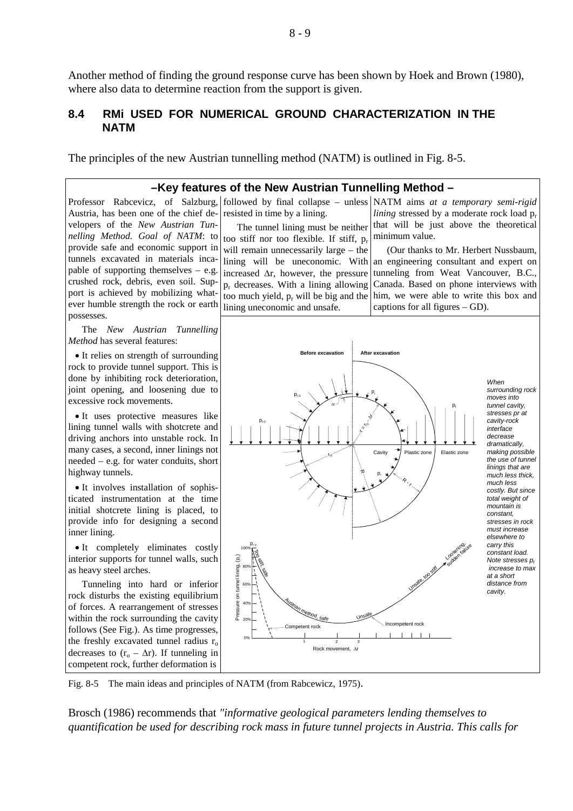Another method of finding the ground response curve has been shown by Hoek and Brown (1980), where also data to determine reaction from the support is given.

### **8.4 RMi USED FOR NUMERICAL GROUND CHARACTERIZATION IN THE NATM**

The principles of the new Austrian tunnelling method (NATM) is outlined in Fig. 8-5.

resisted in time by a lining.

### **–Key features of the New Austrian Tunnelling Method –**

Austria, has been one of the chief developers of the *New Austrian Tunnelling Method. Goal of NATM*: to provide safe and economic support in tunnels excavated in materials incapable of supporting themselves  $-$  e.g. crushed rock, debris, even soil. Support is achieved by mobilizing whatever humble strength the rock or earth possesses.

The *New Austrian Tunnelling Method* has several features:

• It relies on strength of surrounding rock to provide tunnel support. This is done by inhibiting rock deterioration, joint opening, and loosening due to excessive rock movements.

• It uses protective measures like lining tunnel walls with shotcrete and driving anchors into unstable rock. In many cases, a second, inner linings not needed – e.g. for water conduits, short highway tunnels.

• It involves installation of sophisticated instrumentation at the time initial shotcrete lining is placed, to provide info for designing a second inner lining.

• It completely eliminates costly interior supports for tunnel walls, such as heavy steel arches.

Tunneling into hard or inferior rock disturbs the existing equilibrium of forces. A rearrangement of stresses within the rock surrounding the cavity follows (See Fig.). As time progresses, the freshly excavated tunnel radius  $r_0$ decreases to  $(r_0 - \Delta r)$ . If tunneling in competent rock, further deformation is

The tunnel lining must be neither too stiff nor too flexible. If stiff,  $p_r$ will remain unnecessarily large – the lining will be uneconomic. With increased ∆r, however, the pressure  $p_r$  decreases. With a lining allowing too much yield,  $p_r$  will be big and the lining uneconomic and unsafe.

Professor Rabcevicz, of Salzburg, followed by final collapse – unless NATM aims *at a temporary semi-rigid lining* stressed by a moderate rock load  $p_r$ that will be just above the theoretical minimum value.

> (Our thanks to Mr. Herbert Nussbaum, an engineering consultant and expert on tunneling from Weat Vancouver, B.C., Canada. Based on phone interviews with him, we were able to write this box and captions for all figures – GD).



Fig. 8-5 The main ideas and principles of NATM (from Rabcewicz, 1975).

Brosch (1986) recommends that *"informative geological parameters lending themselves to quantification be used for describing rock mass in future tunnel projects in Austria. This calls for*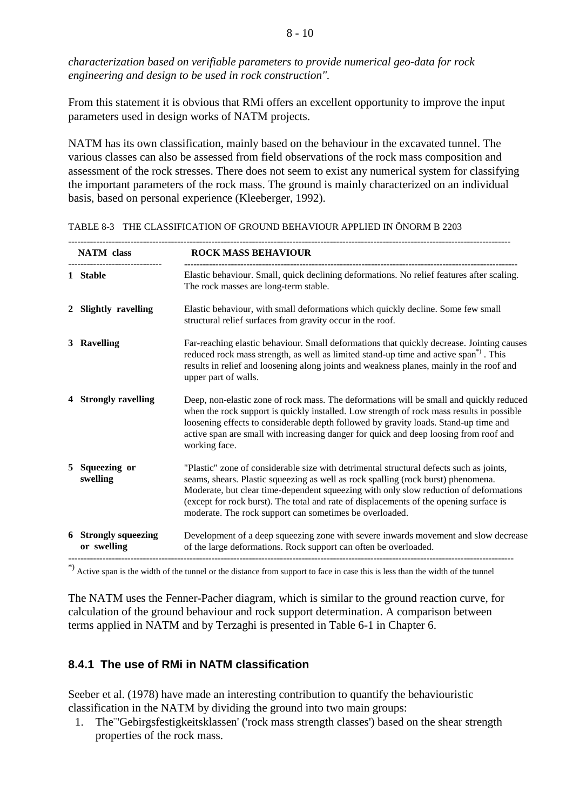*characterization based on verifiable parameters to provide numerical geo-data for rock engineering and design to be used in rock construction".*

From this statement it is obvious that RMi offers an excellent opportunity to improve the input parameters used in design works of NATM projects.

NATM has its own classification, mainly based on the behaviour in the excavated tunnel. The various classes can also be assessed from field observations of the rock mass composition and assessment of the rock stresses. There does not seem to exist any numerical system for classifying the important parameters of the rock mass. The ground is mainly characterized on an individual basis, based on personal experience (Kleeberger, 1992).

|   | <b>NATM</b> class                   | <b>ROCK MASS BEHAVIOUR</b>                                                                                                                                                                                                                                                                                                                                                                                                 |
|---|-------------------------------------|----------------------------------------------------------------------------------------------------------------------------------------------------------------------------------------------------------------------------------------------------------------------------------------------------------------------------------------------------------------------------------------------------------------------------|
|   | 1 Stable                            | Elastic behaviour. Small, quick declining deformations. No relief features after scaling.<br>The rock masses are long-term stable.                                                                                                                                                                                                                                                                                         |
|   | 2 Slightly ravelling                | Elastic behaviour, with small deformations which quickly decline. Some few small<br>structural relief surfaces from gravity occur in the roof.                                                                                                                                                                                                                                                                             |
|   | 3 Ravelling                         | Far-reaching elastic behaviour. Small deformations that quickly decrease. Jointing causes<br>reduced rock mass strength, as well as limited stand-up time and active span <sup>"</sup> ). This<br>results in relief and loosening along joints and weakness planes, mainly in the roof and<br>upper part of walls.                                                                                                         |
|   | 4 Strongly ravelling                | Deep, non-elastic zone of rock mass. The deformations will be small and quickly reduced<br>when the rock support is quickly installed. Low strength of rock mass results in possible<br>loosening effects to considerable depth followed by gravity loads. Stand-up time and<br>active span are small with increasing danger for quick and deep loosing from roof and<br>working face.                                     |
| 5 | Squeezing or<br>swelling            | "Plastic" zone of considerable size with detrimental structural defects such as joints,<br>seams, shears. Plastic squeezing as well as rock spalling (rock burst) phenomena.<br>Moderate, but clear time-dependent squeezing with only slow reduction of deformations<br>(except for rock burst). The total and rate of displacements of the opening surface is<br>moderate. The rock support can sometimes be overloaded. |
|   | 6 Strongly squeezing<br>or swelling | Development of a deep squeezing zone with severe inwards movement and slow decrease<br>of the large deformations. Rock support can often be overloaded.                                                                                                                                                                                                                                                                    |

TABLE 8-3 THE CLASSIFICATION OF GROUND BEHAVIOUR APPLIED IN ÖNORM B 2203

The NATM uses the Fenner-Pacher diagram, which is similar to the ground reaction curve, for calculation of the ground behaviour and rock support determination. A comparison between terms applied in NATM and by Terzaghi is presented in Table 6-1 in Chapter 6.

# **8.4.1 The use of RMi in NATM classification**

Seeber et al. (1978) have made an interesting contribution to quantify the behaviouristic classification in the NATM by dividing the ground into two main groups:

1. The¨'Gebirgsfestigkeitsklassen' ('rock mass strength classes') based on the shear strength properties of the rock mass.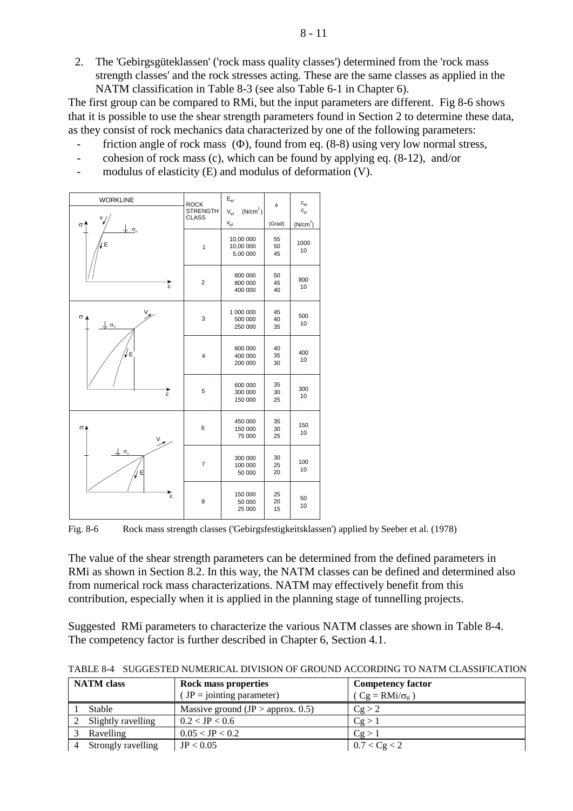2. The 'Gebirgsgüteklassen' ('rock mass quality classes') determined from the 'rock mass strength classes' and the rock stresses acting. These are the same classes as applied in the NATM classification in Table 8-3 (see also Table 6-1 in Chapter 6).

The first group can be compared to RMi, but the input parameters are different. Fig 8-6 shows that it is possible to use the shear strength parameters found in Section 2 to determine these data, as they consist of rock mechanics data characterized by one of the following parameters:

- friction angle of rock mass  $(\Phi)$ , found from eq. (8-8) using very low normal stress,
- cohesion of rock mass (c), which can be found by applying eq. (8-12), and/or
- modulus of elasticity  $(E)$  and modulus of deformation  $(V)$ .



Fig. 8-6 Rock mass strength classes ('Gebirgsfestigkeitsklassen') applied by Seeber et al. (1978)

The value of the shear strength parameters can be determined from the defined parameters in RMi as shown in Section 8.2. In this way, the NATM classes can be defined and determined also from numerical rock mass characterizations. NATM may effectively benefit from this contribution, especially when it is applied in the planning stage of tunnelling projects.

Suggested RMi parameters to characterize the various NATM classes are shown in Table 8-4. The competency factor is further described in Chapter 6, Section 4.1.

| <b>NATM</b> class |                    | <b>Rock mass properties</b>         | <b>Competency factor</b>     |  |  |
|-------------------|--------------------|-------------------------------------|------------------------------|--|--|
|                   |                    | $(JP = jointing parameter)$         | $(Cg = RMi/\sigma_{\theta})$ |  |  |
|                   | Stable             | Massive ground $(JP > approx. 0.5)$ | Cg > 2                       |  |  |
|                   | Slightly ravelling | $0.2 <$ JP $< 0.6$                  | Cg > 1                       |  |  |
|                   | Ravelling          | $0.05 <$ JP $< 0.2$                 | Cg > 1                       |  |  |
|                   | Strongly ravelling | JP < 0.05                           | 0.7 < Cg < 2                 |  |  |

TABLE 8-4 SUGGESTED NUMERICAL DIVISION OF GROUND ACCORDING TO NATM CLASSIFICATION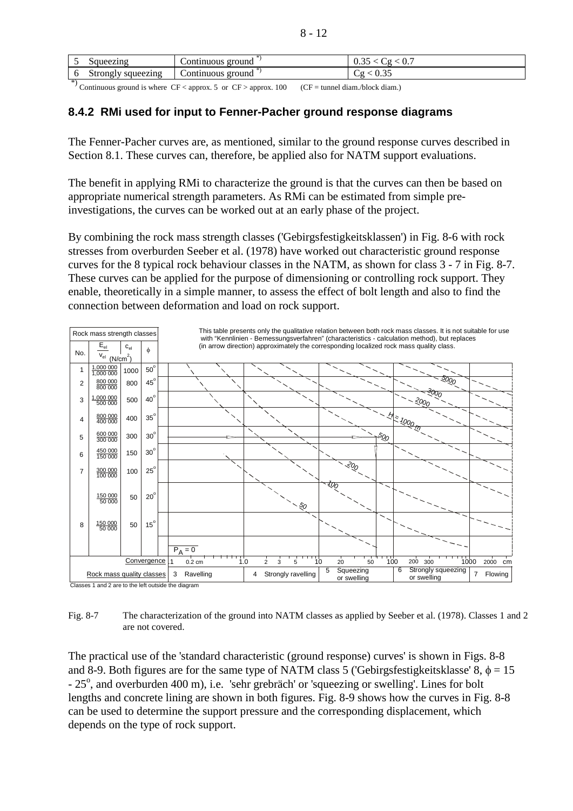|      | Squeezing            | -groung<br>continuous_ | $\mathbf{v}$ .<br><u>v.JJ</u>   |
|------|----------------------|------------------------|---------------------------------|
| U    | squeezing<br>Strongl | groung<br>ontinuous    | $\sim$<br>$\upsilon\ldots$<br>ີ |
| -ski | .<br>--              | .<br>____              | .                               |

Continuous ground is where  $CF <$  approx. 5 or  $CF >$  approx. 100 (CF = tunnel diam./block diam.)

## **8.4.2 RMi used for input to Fenner-Pacher ground response diagrams**

The Fenner-Pacher curves are, as mentioned, similar to the ground response curves described in Section 8.1. These curves can, therefore, be applied also for NATM support evaluations.

The benefit in applying RMi to characterize the ground is that the curves can then be based on appropriate numerical strength parameters. As RMi can be estimated from simple preinvestigations, the curves can be worked out at an early phase of the project.

By combining the rock mass strength classes ('Gebirgsfestigkeitsklassen') in Fig. 8-6 with rock stresses from overburden Seeber et al. (1978) have worked out characteristic ground response curves for the 8 typical rock behaviour classes in the NATM, as shown for class 3 - 7 in Fig. 8-7. These curves can be applied for the purpose of dimensioning or controlling rock support. They enable, theoretically in a simple manner, to assess the effect of bolt length and also to find the connection between deformation and load on rock support.



Classes 1 and 2 are to the left outside the diagram

Fig. 8-7 The characterization of the ground into NATM classes as applied by Seeber et al. (1978). Classes 1 and 2 are not covered.

The practical use of the 'standard characteristic (ground response) curves' is shown in Figs. 8-8 and 8-9. Both figures are for the same type of NATM class 5 ('Gebirgsfestigkeitsklasse' 8,  $\phi = 15$ ) - 25°, and overburden 400 m), i.e. 'sehr grebräch' or 'squeezing or swelling'. Lines for bolt lengths and concrete lining are shown in both figures. Fig. 8-9 shows how the curves in Fig. 8-8 can be used to determine the support pressure and the corresponding displacement, which depends on the type of rock support.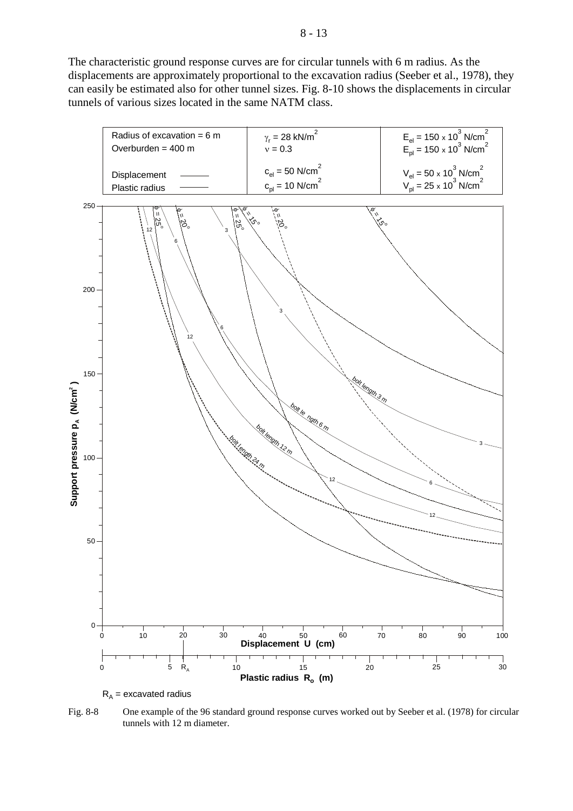The characteristic ground response curves are for circular tunnels with 6 m radius. As the displacements are approximately proportional to the excavation radius (Seeber et al., 1978), they can easily be estimated also for other tunnel sizes. Fig. 8-10 shows the displacements in circular tunnels of various sizes located in the same NATM class.



 $R_A$  = excavated radius

Fig. 8-8 One example of the 96 standard ground response curves worked out by Seeber et al. (1978) for circular tunnels with 12 m diameter.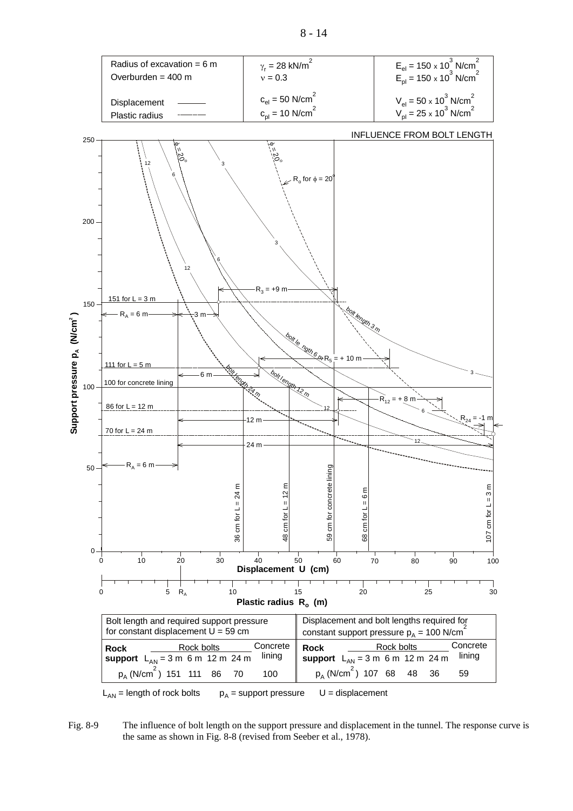

Fig. 8-9 The influence of bolt length on the support pressure and displacement in the tunnel. The response curve is the same as shown in Fig. 8-8 (revised from Seeber et al., 1978).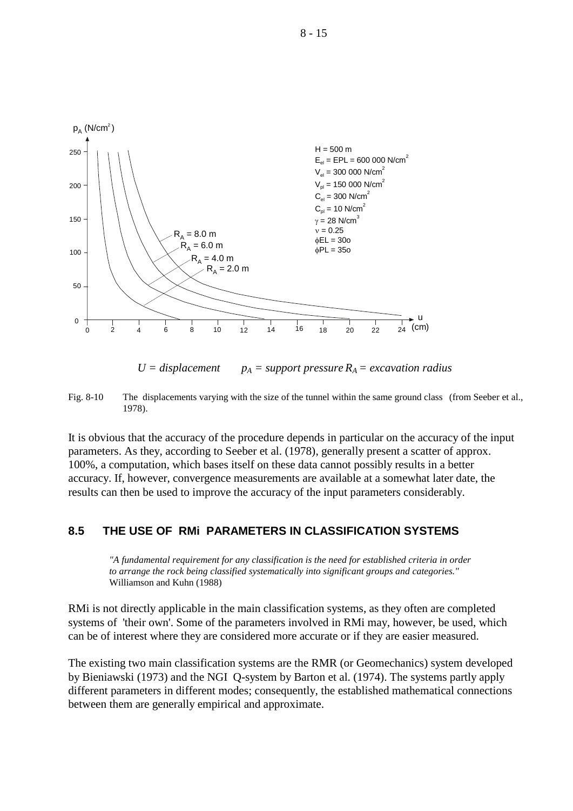

 $U = displacement$   $p_A = support pressure R_A = excavation radius$ 

Fig. 8-10 The displacements varying with the size of the tunnel within the same ground class (from Seeber et al., 1978).

It is obvious that the accuracy of the procedure depends in particular on the accuracy of the input parameters. As they, according to Seeber et al. (1978), generally present a scatter of approx. 100%, a computation, which bases itself on these data cannot possibly results in a better accuracy. If, however, convergence measurements are available at a somewhat later date, the results can then be used to improve the accuracy of the input parameters considerably.

## **8.5 THE USE OF RMi PARAMETERS IN CLASSIFICATION SYSTEMS**

*"A fundamental requirement for any classification is the need for established criteria in order to arrange the rock being classified systematically into significant groups and categories."* Williamson and Kuhn (1988)

RMi is not directly applicable in the main classification systems, as they often are completed systems of 'their own'. Some of the parameters involved in RMi may, however, be used, which can be of interest where they are considered more accurate or if they are easier measured.

The existing two main classification systems are the RMR (or Geomechanics) system developed by Bieniawski (1973) and the NGI Q-system by Barton et al. (1974). The systems partly apply different parameters in different modes; consequently, the established mathematical connections between them are generally empirical and approximate.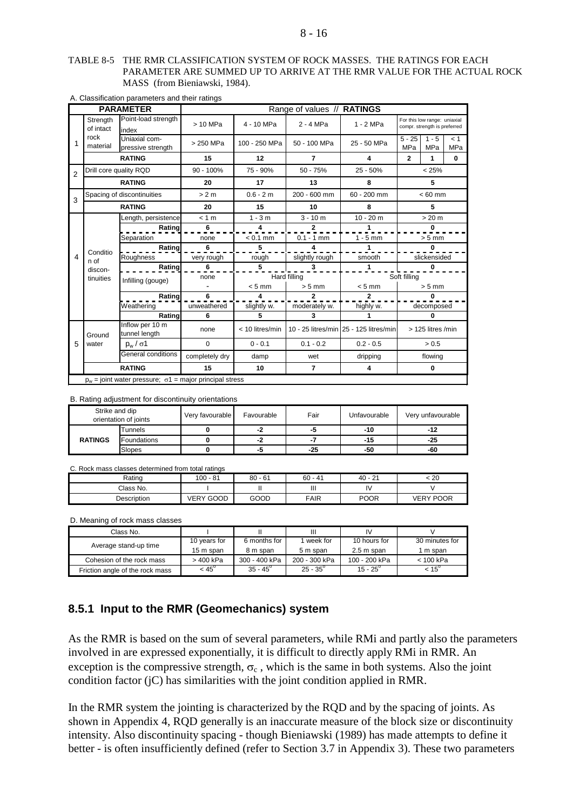#### TABLE 8-5 THE RMR CLASSIFICATION SYSTEM OF ROCK MASSES. THE RATINGS FOR EACH PARAMETER ARE SUMMED UP TO ARRIVE AT THE RMR VALUE FOR THE ACTUAL ROCK MASS (from Bieniawski, 1984).

| <b>PARAMETER</b> |                       |                                                                   |                | Range of values // RATINGS |                |                                        |                                                              |                       |            |
|------------------|-----------------------|-------------------------------------------------------------------|----------------|----------------------------|----------------|----------------------------------------|--------------------------------------------------------------|-----------------------|------------|
|                  | Strength<br>of intact | Point-load strength<br>index                                      | > 10 MPa       | 4 - 10 MPa                 | 2 - 4 MPa      | $1 - 2 MPa$                            | For this low range: uniaxial<br>compr. strength is preferred |                       |            |
| 1                | rock<br>material      | Uniaxial com-<br>pressive strength                                | > 250 MPa      | 100 - 250 MPa              | 50 - 100 MPa   | 25 - 50 MPa                            | $5 - 25$<br><b>MPa</b>                                       | $1 - 5$<br><b>MPa</b> | < 1<br>MPa |
|                  |                       | <b>RATING</b>                                                     | 15             | 12                         | 7              | 4                                      | $\overline{2}$                                               | 1                     | $\bf{0}$   |
| $\mathfrak{p}$   |                       | Drill core quality RQD                                            | $90 - 100\%$   | 75 - 90%                   | $50 - 75%$     | $25 - 50%$                             |                                                              | < 25%                 |            |
|                  |                       | <b>RATING</b>                                                     | 20             | 17                         | 13             | 8                                      |                                                              | 5                     |            |
| 3                |                       | Spacing of discontinuities                                        | > 2 m          | $0.6 - 2 m$                | $200 - 600$ mm | $60 - 200$ mm                          |                                                              | $< 60$ mm             |            |
|                  |                       | <b>RATING</b>                                                     | 20             | 15                         | 10             | 8                                      |                                                              | 5                     |            |
|                  |                       | Length, persistence                                               | < 1 m          | $1 - 3m$                   | $3 - 10 m$     | $10 - 20$ m                            |                                                              | > 20 m                |            |
|                  |                       | Rating                                                            | 6              | 4                          | 2              | 1                                      |                                                              | $\mathbf{0}$          |            |
|                  |                       | Separation                                                        | none           | $< 0.1$ mm                 | $0.1 - 1$ mm   | $1 - 5$ mm                             |                                                              | $> 5$ mm              |            |
|                  | Conditio              | Rating                                                            | 6              | 5                          | 4              | 1                                      |                                                              | 0                     |            |
| 4                | n of                  | Roughness                                                         | very rough     | rough                      | slightly rough | smooth                                 |                                                              | slickensided          |            |
|                  | discon-               | Rating                                                            | 6              | 5                          | 3              | $\mathbf{1}$                           |                                                              | $\mathbf{0}$          |            |
|                  | tinuities             | Infilling (gouge)                                                 | none           | Hard filling               |                |                                        | Soft filling                                                 |                       |            |
|                  |                       |                                                                   |                | $< 5$ mm                   | $> 5$ mm       | $< 5$ mm                               |                                                              | $> 5$ mm              |            |
|                  |                       | Rating                                                            | 6              | 4                          | 2              | $\overline{2}$                         |                                                              | 0                     |            |
|                  |                       | Weathering                                                        | unweathered    | slightly w.                | moderately w.  | highly w.                              |                                                              | decomposed            |            |
|                  |                       | Rating                                                            | 6              | 5                          | 3              | 1                                      |                                                              | 0                     |            |
|                  | Ground                | Inflow per 10 m<br>tunnel length                                  | none           | < 10 litres/min            |                | 10 - 25 litres/min 25 - 125 litres/min |                                                              | > 125 litres /min     |            |
| 5                | water                 | $p_w / \sigma$ 1                                                  | $\mathbf 0$    | $0 - 0.1$                  | $0.1 - 0.2$    | $0.2 - 0.5$                            |                                                              | > 0.5                 |            |
|                  |                       | General conditions                                                | completely dry | damp                       | wet            | dripping                               |                                                              | flowing               |            |
|                  | <b>RATING</b><br>15   |                                                                   | 10             | $\overline{\phantom{a}}$   | 4              |                                        | $\bf{0}$                                                     |                       |            |
|                  |                       | $p_w$ = joint water pressure; $\sigma$ 1 = major principal stress |                |                            |                |                                        |                                                              |                       |            |

#### A. Classification parameters and their ratings

B. Rating adjustment for discontinuity orientations

| Strike and dip<br>orientation of joints |             | Very favourable | Favourable | Fair  | Unfavourable | Very unfavourable |
|-----------------------------------------|-------------|-----------------|------------|-------|--------------|-------------------|
|                                         | Tunnels     |                 | -2         | -5    | $-10$        | -12               |
| <b>RATINGS</b>                          | Foundations |                 | -2         | - 4   | -15          | $-25$             |
|                                         | Slopes      |                 | -5         | $-25$ | -50          | -60               |

C. Rock mass classes determined from total ratings

| Rating      | $100 - 81$       | $80 - 61$ | 60<br>. - 41 | $\sim$<br>$40 - 21$ | : 20             |
|-------------|------------------|-----------|--------------|---------------------|------------------|
| Class No.   |                  |           | Ш            | I٧                  |                  |
| Description | <b>VERY GOOD</b> | GOOD      | <b>FAIR</b>  | <b>POOR</b>         | <b>VERY POOR</b> |

D. Meaning of rock mass classes

| Class No.                       |                |                   | Ш                 | IV                |                |
|---------------------------------|----------------|-------------------|-------------------|-------------------|----------------|
| Average stand-up time           | 10 years for   | 6 months for      | week for          | 10 hours for      | 30 minutes for |
|                                 | 15 m span      | 8 m span          | 5 m span          | 2.5 m span        | 1 m span       |
| Cohesion of the rock mass       | > 400 kPa      | 300 - 400 kPa     | 200 - 300 kPa     | 100 - 200 kPa     | < 100 kPa      |
| Friction angle of the rock mass | $< 45^{\circ}$ | $35 - 45^{\circ}$ | $25 - 35^{\circ}$ | $15 - 25^{\circ}$ | $< 15^{\circ}$ |

### **8.5.1 Input to the RMR (Geomechanics) system**

As the RMR is based on the sum of several parameters, while RMi and partly also the parameters involved in are expressed exponentially, it is difficult to directly apply RMi in RMR. An exception is the compressive strength,  $\sigma_c$ , which is the same in both systems. Also the joint condition factor (jC) has similarities with the joint condition applied in RMR.

In the RMR system the jointing is characterized by the RQD and by the spacing of joints. As shown in Appendix 4, RQD generally is an inaccurate measure of the block size or discontinuity intensity. Also discontinuity spacing - though Bieniawski (1989) has made attempts to define it better - is often insufficiently defined (refer to Section 3.7 in Appendix 3). These two parameters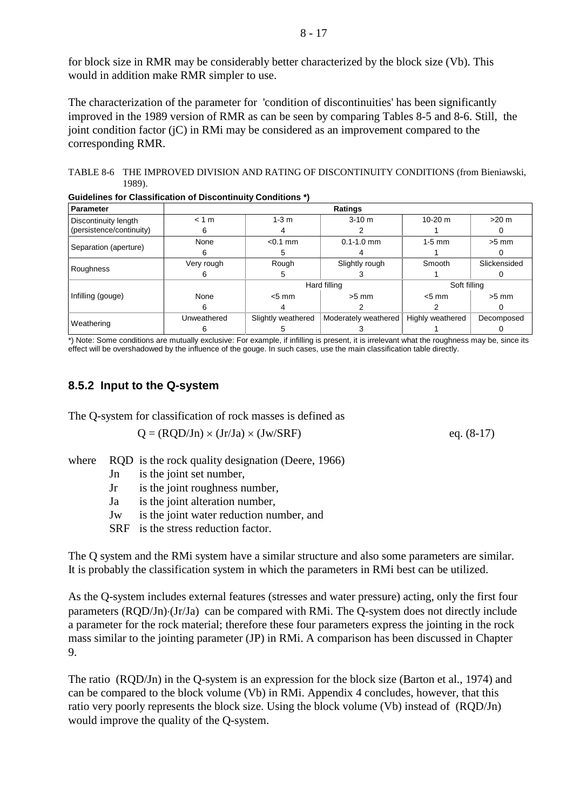for block size in RMR may be considerably better characterized by the block size (Vb). This would in addition make RMR simpler to use.

The characterization of the parameter for 'condition of discontinuities' has been significantly improved in the 1989 version of RMR as can be seen by comparing Tables 8-5 and 8-6. Still, the joint condition factor (jC) in RMi may be considered as an improvement compared to the corresponding RMR.

TABLE 8-6 THE IMPROVED DIVISION AND RATING OF DISCONTINUITY CONDITIONS (from Bieniawski, 1989).

| <b>Parameter</b>         |             |                    | Ratings              |                  |              |
|--------------------------|-------------|--------------------|----------------------|------------------|--------------|
| Discontinuity length     | < 1 m       | $1-3$ m            | $3-10 m$             | $10-20$ m        | $>20$ m      |
| (persistence/continuity) | 6           |                    |                      |                  |              |
|                          | None        | $< 0.1$ mm         | $0.1 - 1.0$ mm       | $1-5$ mm         | $>5$ mm      |
| Separation (aperture)    | h           | :                  |                      |                  |              |
|                          | Very rough  | Rough              | Slightly rough       | Smooth           | Slickensided |
| Roughness                |             |                    |                      |                  |              |
|                          |             |                    | Hard filling         | Soft filling     |              |
| Infilling (gouge)        | None        | $< 5$ mm           | $>5$ mm              | $< 5 \text{ mm}$ | $>5$ mm      |
|                          | 6           |                    |                      |                  |              |
|                          | Unweathered | Slightly weathered | Moderately weathered | Highly weathered | Decomposed   |
| Weathering               |             |                    |                      |                  |              |

**Guidelines for Classification of Discontinuity Conditions \*)**

\*) Note: Some conditions are mutually exclusive: For example, if infilling is present, it is irrelevant what the roughness may be, since its effect will be overshadowed by the influence of the gouge. In such cases, use the main classification table directly.

## **8.5.2 Input to the Q-system**

The Q-system for classification of rock masses is defined as

$$
Q = (RQD/Jn) \times (Jr/Ja) \times (Jw/SRF)
$$
eq. (8-17)

where 
$$
RQD
$$
 is the rock quality designation (Deere, 1966)

- Jn is the joint set number,
- Jr is the joint roughness number,
- Ja is the joint alteration number,
- Jw is the joint water reduction number, and
- SRF is the stress reduction factor.

The Q system and the RMi system have a similar structure and also some parameters are similar. It is probably the classification system in which the parameters in RMi best can be utilized.

As the Q-system includes external features (stresses and water pressure) acting, only the first four parameters (RQD/Jn)⋅(Jr/Ja) can be compared with RMi. The Q-system does not directly include a parameter for the rock material; therefore these four parameters express the jointing in the rock mass similar to the jointing parameter (JP) in RMi. A comparison has been discussed in Chapter 9.

The ratio (RQD/Jn) in the Q-system is an expression for the block size (Barton et al., 1974) and can be compared to the block volume (Vb) in RMi. Appendix 4 concludes, however, that this ratio very poorly represents the block size. Using the block volume (Vb) instead of (RQD/Jn) would improve the quality of the Q-system.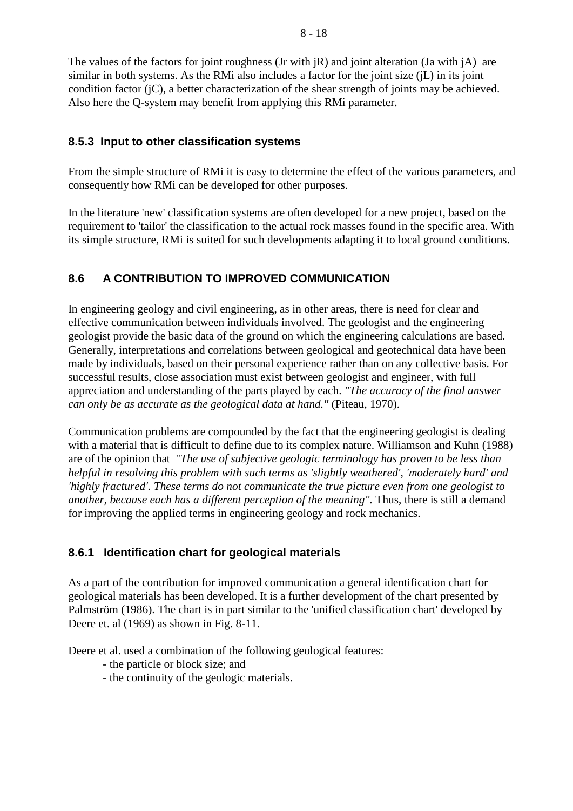The values of the factors for joint roughness (Jr with  $\overline{R}$ ) and joint alteration (Ja with  $\overline{A}$ ) are similar in both systems. As the RMi also includes a factor for the joint size (jL) in its joint condition factor (jC), a better characterization of the shear strength of joints may be achieved. Also here the Q-system may benefit from applying this RMi parameter.

## **8.5.3 Input to other classification systems**

From the simple structure of RMi it is easy to determine the effect of the various parameters, and consequently how RMi can be developed for other purposes.

In the literature 'new' classification systems are often developed for a new project, based on the requirement to 'tailor' the classification to the actual rock masses found in the specific area. With its simple structure, RMi is suited for such developments adapting it to local ground conditions.

# **8.6 A CONTRIBUTION TO IMPROVED COMMUNICATION**

In engineering geology and civil engineering, as in other areas, there is need for clear and effective communication between individuals involved. The geologist and the engineering geologist provide the basic data of the ground on which the engineering calculations are based. Generally, interpretations and correlations between geological and geotechnical data have been made by individuals, based on their personal experience rather than on any collective basis. For successful results, close association must exist between geologist and engineer, with full appreciation and understanding of the parts played by each. *"The accuracy of the final answer can only be as accurate as the geological data at hand."* (Piteau, 1970).

Communication problems are compounded by the fact that the engineering geologist is dealing with a material that is difficult to define due to its complex nature. Williamson and Kuhn (1988) are of the opinion that "*The use of subjective geologic terminology has proven to be less than helpful in resolving this problem with such terms as 'slightly weathered', 'moderately hard' and 'highly fractured'. These terms do not communicate the true picture even from one geologist to another, because each has a different perception of the meaning".* Thus, there is still a demand for improving the applied terms in engineering geology and rock mechanics.

# **8.6.1 Identification chart for geological materials**

As a part of the contribution for improved communication a general identification chart for geological materials has been developed. It is a further development of the chart presented by Palmström (1986). The chart is in part similar to the 'unified classification chart' developed by Deere et. al (1969) as shown in Fig. 8-11.

Deere et al. used a combination of the following geological features:

- the particle or block size; and
- the continuity of the geologic materials.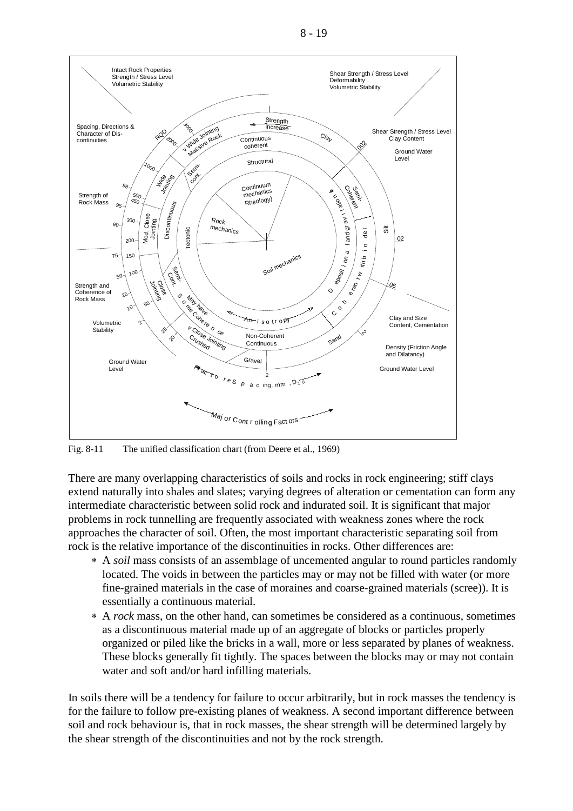



Fig. 8-11 The unified classification chart (from Deere et al., 1969)

There are many overlapping characteristics of soils and rocks in rock engineering; stiff clays extend naturally into shales and slates; varying degrees of alteration or cementation can form any intermediate characteristic between solid rock and indurated soil. It is significant that major problems in rock tunnelling are frequently associated with weakness zones where the rock approaches the character of soil. Often, the most important characteristic separating soil from rock is the relative importance of the discontinuities in rocks. Other differences are:

- ∗ A *soil* mass consists of an assemblage of uncemented angular to round particles randomly located. The voids in between the particles may or may not be filled with water (or more fine-grained materials in the case of moraines and coarse-grained materials (scree)). It is essentially a continuous material.
- ∗ A *rock* mass, on the other hand, can sometimes be considered as a continuous, sometimes as a discontinuous material made up of an aggregate of blocks or particles properly organized or piled like the bricks in a wall, more or less separated by planes of weakness. These blocks generally fit tightly. The spaces between the blocks may or may not contain water and soft and/or hard infilling materials.

In soils there will be a tendency for failure to occur arbitrarily, but in rock masses the tendency is for the failure to follow pre-existing planes of weakness. A second important difference between soil and rock behaviour is, that in rock masses, the shear strength will be determined largely by the shear strength of the discontinuities and not by the rock strength.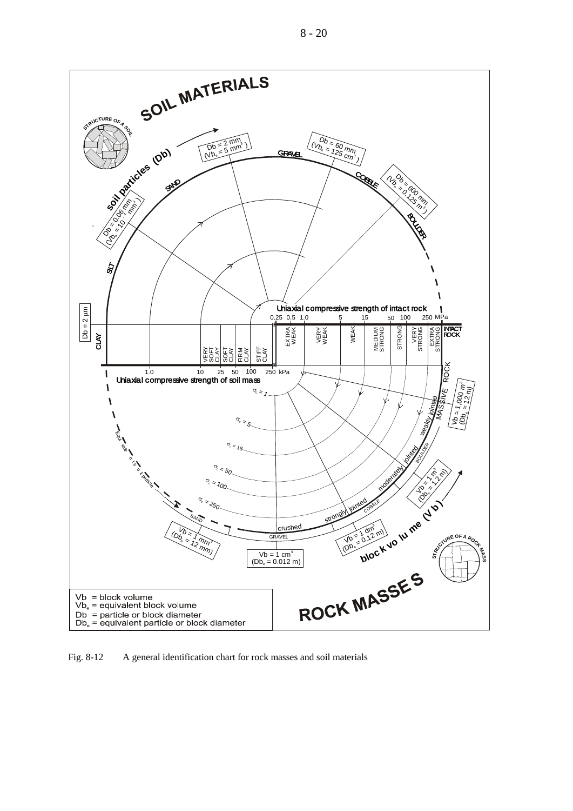



Fig. 8-12 A general identification chart for rock masses and soil materials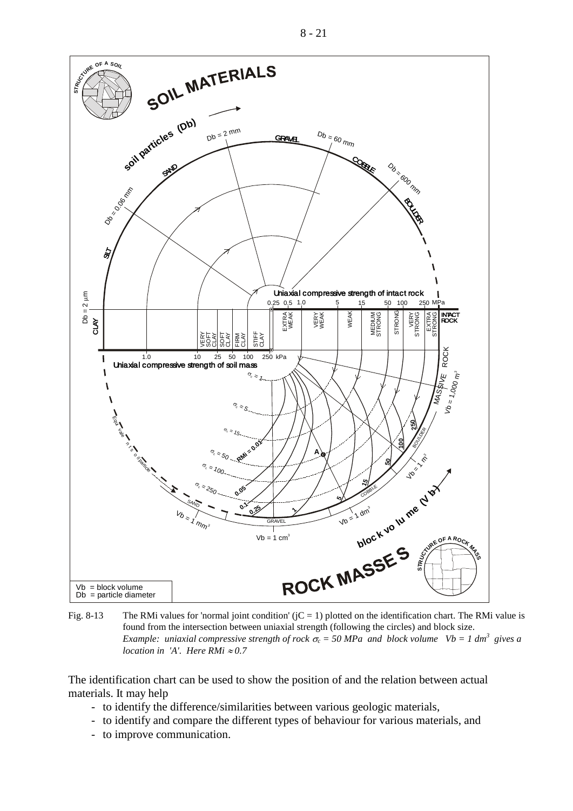

Fig. 8-13 The RMi values for 'normal joint condition'  $(iC = 1)$  plotted on the identification chart. The RMi value is found from the intersection between uniaxial strength (following the circles) and block size. *Example: uniaxial compressive strength of rock*  $\sigma_c$  = 50 MPa and block volume Vb = 1 dm<sup>3</sup> gives a *location in 'A'. Here RMi*  $\approx 0.7$ 

The identification chart can be used to show the position of and the relation between actual materials. It may help

- to identify the difference/similarities between various geologic materials,
- to identify and compare the different types of behaviour for various materials, and
- to improve communication.